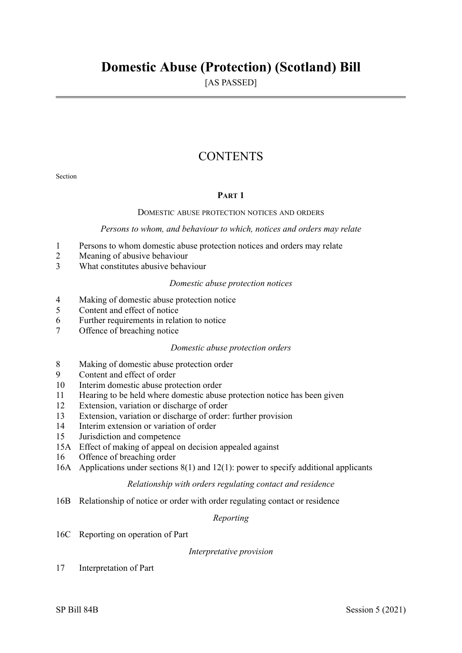# **Domestic Abuse (Protection) (Scotland) Bill**

[AS PASSED]

## **CONTENTS**

Section

#### **PART 1**

#### DOMESTIC ABUSE PROTECTION NOTICES AND ORDERS

#### *Persons to whom, and behaviour to which, notices and orders may relate*

- 1 Persons to whom domestic abuse protection notices and orders may relate
- 2 Meaning of abusive behaviour
- 3 What constitutes abusive behaviour

#### *Domestic abuse protection notices*

- 4 Making of domestic abuse protection notice
- 5 Content and effect of notice
- 6 Further requirements in relation to notice
- 7 Offence of breaching notice

#### *Domestic abuse protection orders*

- 8 Making of domestic abuse protection order
- 9 Content and effect of order
- 10 Interim domestic abuse protection order
- 11 Hearing to be held where domestic abuse protection notice has been given
- 12 Extension, variation or discharge of order
- 13 Extension, variation or discharge of order: further provision
- 14 Interim extension or variation of order
- 15 Jurisdiction and competence
- 15A Effect of making of appeal on decision appealed against
- 16 Offence of breaching order
- 16A Applications under sections 8(1) and 12(1): power to specify additional applicants

#### *Relationship with orders regulating contact and residence*

16B Relationship of notice or order with order regulating contact or residence

*Reporting* 

16C Reporting on operation of Part

#### *Interpretative provision*

17 Interpretation of Part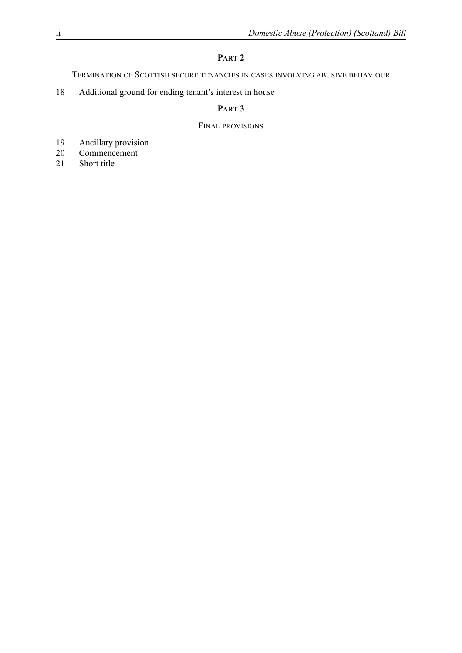### **PART 2**

TERMINATION OF SCOTTISH SECURE TENANCIES IN CASES INVOLVING ABUSIVE BEHAVIOUR

18 Additional ground for ending tenant's interest in house

#### **PART 3**

#### FINAL PROVISIONS

- 19 Ancillary provision
- 20 Commencement
- 21 Short title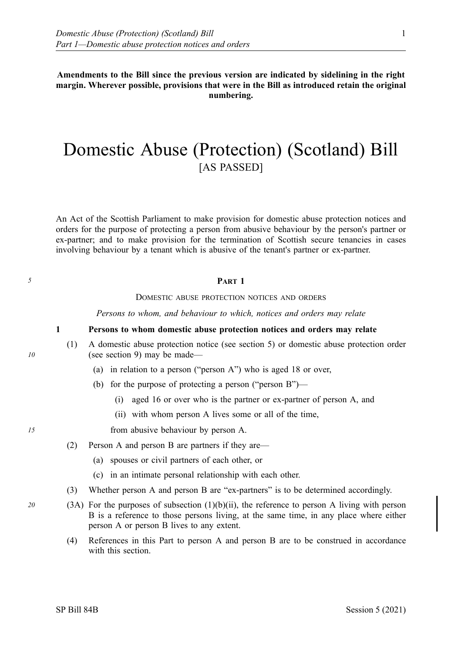**Amendments to the Bill since the previous version are indicated by sidelining in the right margin. Wherever possible, provisions that were in the Bill as introduced retain the original numbering.** 

# Domestic Abuse (Protection) (Scotland) Bill [AS PASSED]

An Act of the Scottish Parliament to make provision for domestic abuse protection notices and orders for the purpose of protecting a person from abusive behaviour by the person's partner or ex-partner; and to make provision for the termination of Scottish secure tenancies in cases involving behaviour by a tenant which is abusive of the tenant's partner or ex-partner.

#### *5* **PART 1**

DOMESTIC ABUSE PROTECTION NOTICES AND ORDERS

*Persons to whom, and behaviour to which, notices and orders may relate* 

#### **1 Persons to whom domestic abuse protection notices and orders may relate**

- (1) A domestic abuse protection notice (see section 5) or domestic abuse protection order (see section 9) may be made—
	- (a) in relation to a person ("person A") who is aged 18 or over,
	- (b) for the purpose of protecting a person ("person B")—
		- (i) aged 16 or over who is the partner or ex-partner of person A, and
		- (ii) with whom person A lives some or all of the time,

*15* from abusive behaviour by person A.

- (2) Person A and person B are partners if they are—
	- (a) spouses or civil partners of each other, or
	- (c) in an intimate personal relationship with each other.
- (3) Whether person A and person B are "ex-partners" is to be determined accordingly.
- *20* (3A) For the purposes of subsection (1)(b)(ii), the reference to person A living with person B is a reference to those persons living, at the same time, in any place where either person A or person B lives to any extent.
	- (4) References in this Part to person A and person B are to be construed in accordance with this section.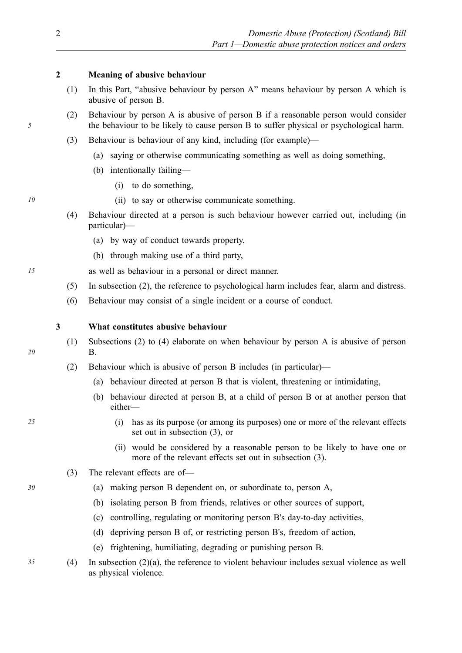#### **2 Meaning of abusive behaviour**

- (1) In this Part, "abusive behaviour by person A" means behaviour by person A which is abusive of person B.
- (2) Behaviour by person A is abusive of person B if a reasonable person would consider the behaviour to be likely to cause person B to suffer physical or psychological harm.
- (3) Behaviour is behaviour of any kind, including (for example)—
	- (a) saying or otherwise communicating something as well as doing something,
	- (b) intentionally failing—
		- (i) to do something,
- *10* (ii) to say or otherwise communicate something.
	- (4) Behaviour directed at a person is such behaviour however carried out, including (in particular)—
		- (a) by way of conduct towards property,
		- (b) through making use of a third party,

*15* as well as behaviour in a personal or direct manner.

- (5) In subsection (2), the reference to psychological harm includes fear, alarm and distress.
- (6) Behaviour may consist of a single incident or a course of conduct.

#### **3 What constitutes abusive behaviour**

- (1) Subsections (2) to (4) elaborate on when behaviour by person A is abusive of person B.
- (2) Behaviour which is abusive of person B includes (in particular)—
	- (a) behaviour directed at person B that is violent, threatening or intimidating,
	- (b) behaviour directed at person B, at a child of person B or at another person that either—
- *25* (i) has as its purpose (or among its purposes) one or more of the relevant effects set out in subsection (3), or
	- (ii) would be considered by a reasonable person to be likely to have one or more of the relevant effects set out in subsection (3).
	- (3) The relevant effects are of—
- *30* (a) making person B dependent on, or subordinate to, person A,
	- (b) isolating person B from friends, relatives or other sources of support,
	- (c) controlling, regulating or monitoring person B's day-to-day activities,
	- (d) depriving person B of, or restricting person B's, freedom of action,
	- (e) frightening, humiliating, degrading or punishing person B.
- *35* (4) In subsection (2)(a), the reference to violent behaviour includes sexual violence as well as physical violence.

*5*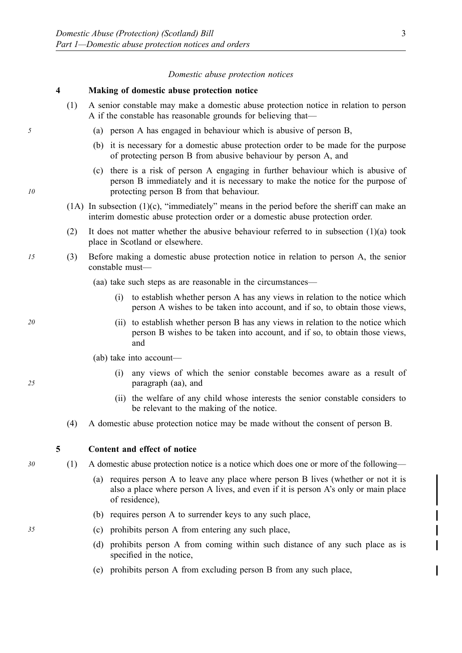#### *Domestic abuse protection notices*

#### **4 Making of domestic abuse protection notice**

- (1) A senior constable may make a domestic abuse protection notice in relation to person A if the constable has reasonable grounds for believing that—
- *5* (a) person A has engaged in behaviour which is abusive of person B,
	- (b) it is necessary for a domestic abuse protection order to be made for the purpose of protecting person B from abusive behaviour by person A, and
	- (c) there is a risk of person A engaging in further behaviour which is abusive of person B immediately and it is necessary to make the notice for the purpose of protecting person B from that behaviour.
	- (1A) In subsection (1)(c), "immediately" means in the period before the sheriff can make an interim domestic abuse protection order or a domestic abuse protection order.
	- (2) It does not matter whether the abusive behaviour referred to in subsection (1)(a) took place in Scotland or elsewhere.
- *15* (3) Before making a domestic abuse protection notice in relation to person A, the senior constable must—
	- (aa) take such steps as are reasonable in the circumstances—
		- (i) to establish whether person A has any views in relation to the notice which person A wishes to be taken into account, and if so, to obtain those views,
- *20* (ii) to establish whether person B has any views in relation to the notice which person B wishes to be taken into account, and if so, to obtain those views, and
	- (ab) take into account—
		- (i) any views of which the senior constable becomes aware as a result of paragraph (aa), and
		- (ii) the welfare of any child whose interests the senior constable considers to be relevant to the making of the notice.
	- (4) A domestic abuse protection notice may be made without the consent of person B.

**5 Content and effect of notice** 

*30* (1) A domestic abuse protection notice is a notice which does one or more of the following—

- (a) requires person A to leave any place where person B lives (whether or not it is also a place where person A lives, and even if it is person A's only or main place of residence),
- (b) requires person A to surrender keys to any such place,
- *35* (c) prohibits person A from entering any such place,
	- (d) prohibits person A from coming within such distance of any such place as is specified in the notice,
	- (e) prohibits person A from excluding person B from any such place,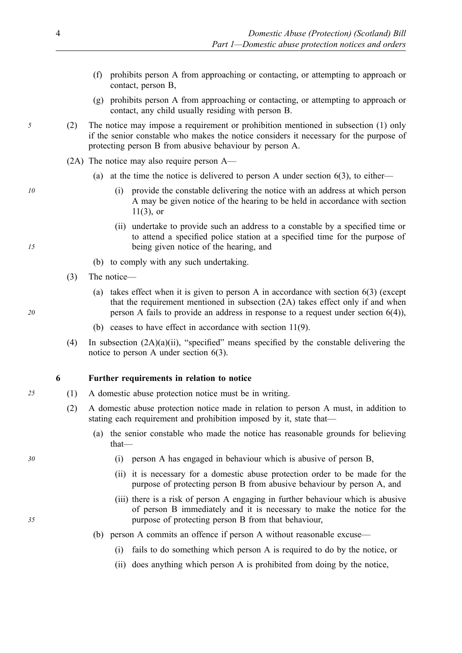- (f) prohibits person A from approaching or contacting, or attempting to approach or contact, person B,
- (g) prohibits person A from approaching or contacting, or attempting to approach or contact, any child usually residing with person B.
- *5* (2) The notice may impose a requirement or prohibition mentioned in subsection (1) only if the senior constable who makes the notice considers it necessary for the purpose of protecting person B from abusive behaviour by person A.
	- (2A) The notice may also require person A—
		- (a) at the time the notice is delivered to person A under section  $6(3)$ , to either—
- *10* (i) provide the constable delivering the notice with an address at which person A may be given notice of the hearing to be held in accordance with section  $11(3)$ , or
	- (ii) undertake to provide such an address to a constable by a specified time or to attend a specified police station at a specified time for the purpose of being given notice of the hearing, and
	- (b) to comply with any such undertaking.
	- (3) The notice—
		- (a) takes effect when it is given to person A in accordance with section 6(3) (except that the requirement mentioned in subsection (2A) takes effect only if and when person A fails to provide an address in response to a request under section 6(4)),
		- (b) ceases to have effect in accordance with section 11(9).
	- (4) In subsection (2A)(a)(ii), "specified" means specified by the constable delivering the notice to person A under section 6(3).

#### **6 Further requirements in relation to notice**

- *25* (1) A domestic abuse protection notice must be in writing.
	- (2) A domestic abuse protection notice made in relation to person A must, in addition to stating each requirement and prohibition imposed by it, state that—
		- (a) the senior constable who made the notice has reasonable grounds for believing that—
- *30* (i) person A has engaged in behaviour which is abusive of person B,
	- (ii) it is necessary for a domestic abuse protection order to be made for the purpose of protecting person B from abusive behaviour by person A, and
	- (iii) there is a risk of person A engaging in further behaviour which is abusive of person B immediately and it is necessary to make the notice for the purpose of protecting person B from that behaviour,
	- (b) person A commits an offence if person A without reasonable excuse—
		- (i) fails to do something which person A is required to do by the notice, or
		- (ii) does anything which person A is prohibited from doing by the notice,

*20* 

*15*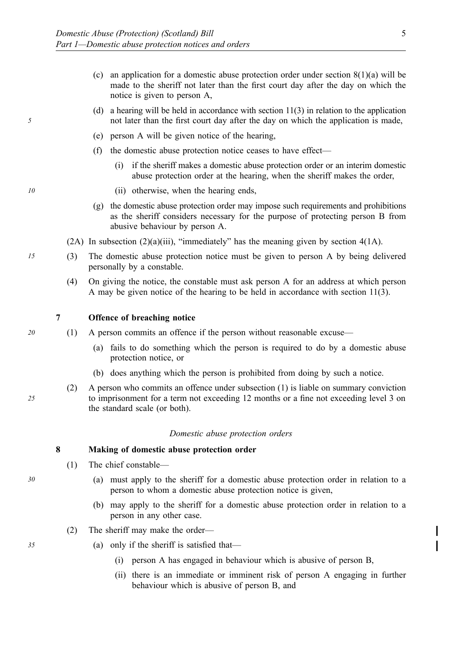- (c) an application for a domestic abuse protection order under section  $8(1)(a)$  will be made to the sheriff not later than the first court day after the day on which the notice is given to person A,
- (d) a hearing will be held in accordance with section 11(3) in relation to the application not later than the first court day after the day on which the application is made,
- (e) person A will be given notice of the hearing,
- (f) the domestic abuse protection notice ceases to have effect—
	- (i) if the sheriff makes a domestic abuse protection order or an interim domestic abuse protection order at the hearing, when the sheriff makes the order,
- *10* (ii) otherwise, when the hearing ends,
	- (g) the domestic abuse protection order may impose such requirements and prohibitions as the sheriff considers necessary for the purpose of protecting person B from abusive behaviour by person A.
	- (2A) In subsection  $(2)(a)(iii)$ , "immediately" has the meaning given by section  $4(1A)$ .
- *15* (3) The domestic abuse protection notice must be given to person A by being delivered personally by a constable.
	- (4) On giving the notice, the constable must ask person A for an address at which person A may be given notice of the hearing to be held in accordance with section 11(3).
	- **7 Offence of breaching notice**
- *20* (1) A person commits an offence if the person without reasonable excuse—
	- (a) fails to do something which the person is required to do by a domestic abuse protection notice, or
	- (b) does anything which the person is prohibited from doing by such a notice.
	- (2) A person who commits an offence under subsection (1) is liable on summary conviction to imprisonment for a term not exceeding 12 months or a fine not exceeding level 3 on the standard scale (or both).

#### *Domestic abuse protection orders*

#### **8 Making of domestic abuse protection order**

- (1) The chief constable—
- *30* (a) must apply to the sheriff for a domestic abuse protection order in relation to a person to whom a domestic abuse protection notice is given,
	- (b) may apply to the sheriff for a domestic abuse protection order in relation to a person in any other case.
	- (2) The sheriff may make the order—
- *35* (a) only if the sheriff is satisfied that—
	- (i) person A has engaged in behaviour which is abusive of person B,
	- (ii) there is an immediate or imminent risk of person A engaging in further behaviour which is abusive of person B, and

*5*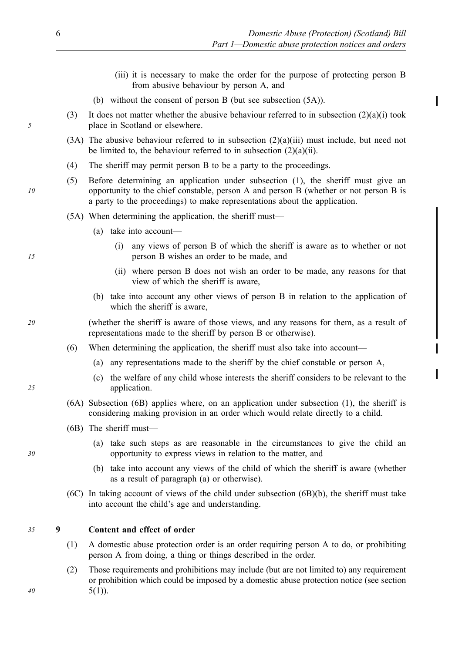- (iii) it is necessary to make the order for the purpose of protecting person B from abusive behaviour by person A, and
- (b) without the consent of person B (but see subsection (5A)).
- (3) It does not matter whether the abusive behaviour referred to in subsection  $(2)(a)(i)$  took place in Scotland or elsewhere.
- (3A) The abusive behaviour referred to in subsection (2)(a)(iii) must include, but need not be limited to, the behaviour referred to in subsection  $(2)(a)(ii)$ .
- (4) The sheriff may permit person B to be a party to the proceedings.
- (5) Before determining an application under subsection (1), the sheriff must give an opportunity to the chief constable, person A and person B (whether or not person B is a party to the proceedings) to make representations about the application.
- (5A) When determining the application, the sheriff must—
	- (a) take into account—
		- (i) any views of person B of which the sheriff is aware as to whether or not person B wishes an order to be made, and
		- (ii) where person B does not wish an order to be made, any reasons for that view of which the sheriff is aware,
	- (b) take into account any other views of person B in relation to the application of which the sheriff is aware.
- *20* (whether the sheriff is aware of those views, and any reasons for them, as a result of representations made to the sheriff by person B or otherwise).
	- (6) When determining the application, the sheriff must also take into account—
		- (a) any representations made to the sheriff by the chief constable or person A,
		- (c) the welfare of any child whose interests the sheriff considers to be relevant to the application.
	- (6A) Subsection (6B) applies where, on an application under subsection (1), the sheriff is considering making provision in an order which would relate directly to a child.
	- (6B) The sheriff must—
		- (a) take such steps as are reasonable in the circumstances to give the child an opportunity to express views in relation to the matter, and
		- (b) take into account any views of the child of which the sheriff is aware (whether as a result of paragraph (a) or otherwise).
	- (6C) In taking account of views of the child under subsection (6B)(b), the sheriff must take into account the child's age and understanding.

#### *35* **9 Content and effect of order**

- (1) A domestic abuse protection order is an order requiring person A to do, or prohibiting person A from doing, a thing or things described in the order.
- (2) Those requirements and prohibitions may include (but are not limited to) any requirement or prohibition which could be imposed by a domestic abuse protection notice (see section  $5(1)$ ).

*15* 

*10* 

*5* 

*25* 

*30*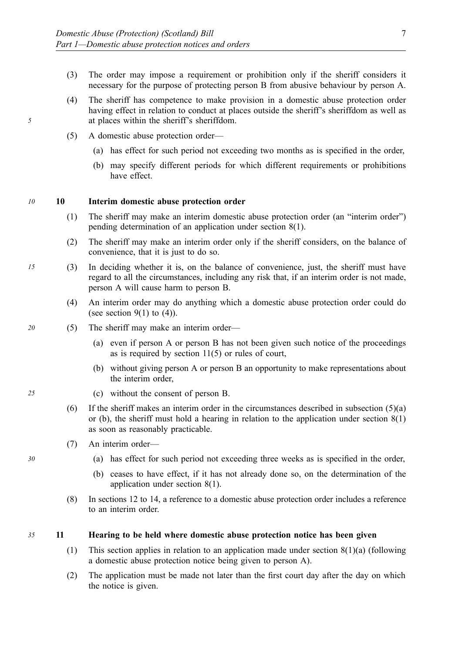- (3) The order may impose a requirement or prohibition only if the sheriff considers it necessary for the purpose of protecting person B from abusive behaviour by person A.
- (4) The sheriff has competence to make provision in a domestic abuse protection order having effect in relation to conduct at places outside the sheriff's sheriffdom as well as at places within the sheriff's sheriffdom.
- (5) A domestic abuse protection order—
	- (a) has effect for such period not exceeding two months as is specified in the order,
	- (b) may specify different periods for which different requirements or prohibitions have effect.

#### *10* **10 Interim domestic abuse protection order**

- (1) The sheriff may make an interim domestic abuse protection order (an "interim order") pending determination of an application under section 8(1).
- (2) The sheriff may make an interim order only if the sheriff considers, on the balance of convenience, that it is just to do so.
- *15* (3) In deciding whether it is, on the balance of convenience, just, the sheriff must have regard to all the circumstances, including any risk that, if an interim order is not made, person A will cause harm to person B.
	- (4) An interim order may do anything which a domestic abuse protection order could do (see section  $9(1)$  to  $(4)$ ).
- *20* (5) The sheriff may make an interim order—
	- (a) even if person A or person B has not been given such notice of the proceedings as is required by section 11(5) or rules of court,
	- (b) without giving person A or person B an opportunity to make representations about the interim order,
- *25* (c) without the consent of person B.
	- (6) If the sheriff makes an interim order in the circumstances described in subsection  $(5)(a)$ or (b), the sheriff must hold a hearing in relation to the application under section 8(1) as soon as reasonably practicable.
	- (7) An interim order—
- *30* (a) has effect for such period not exceeding three weeks as is specified in the order,
	- (b) ceases to have effect, if it has not already done so, on the determination of the application under section 8(1).
	- (8) In sections 12 to 14, a reference to a domestic abuse protection order includes a reference to an interim order.

#### *35* **11 Hearing to be held where domestic abuse protection notice has been given**

- (1) This section applies in relation to an application made under section  $8(1)(a)$  (following a domestic abuse protection notice being given to person A).
- (2) The application must be made not later than the first court day after the day on which the notice is given.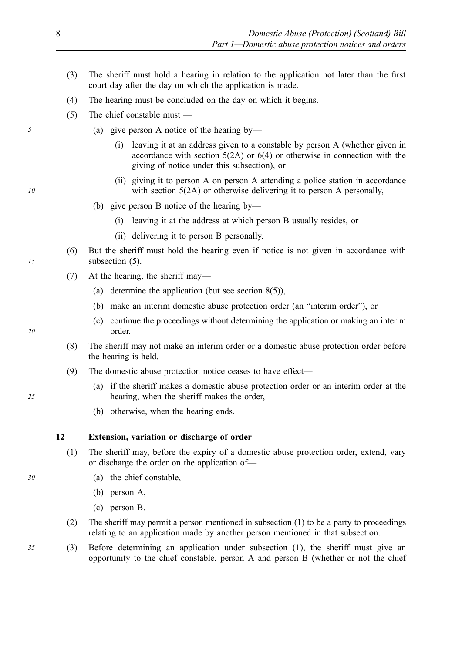- (3) The sheriff must hold a hearing in relation to the application not later than the first court day after the day on which the application is made.
- (4) The hearing must be concluded on the day on which it begins.
- (5) The chief constable must —
- *5* (a) give person A notice of the hearing by—
	- (i) leaving it at an address given to a constable by person A (whether given in accordance with section 5(2A) or 6(4) or otherwise in connection with the giving of notice under this subsection), or
	- (ii) giving it to person A on person A attending a police station in accordance with section 5(2A) or otherwise delivering it to person A personally,
	- (b) give person B notice of the hearing by—
		- (i) leaving it at the address at which person B usually resides, or
		- (ii) delivering it to person B personally.
	- (6) But the sheriff must hold the hearing even if notice is not given in accordance with subsection  $(5)$ .
	- (7) At the hearing, the sheriff may—
		- (a) determine the application (but see section 8(5)),
		- (b) make an interim domestic abuse protection order (an "interim order"), or
		- (c) continue the proceedings without determining the application or making an interim order.
	- (8) The sheriff may not make an interim order or a domestic abuse protection order before the hearing is held.
	- (9) The domestic abuse protection notice ceases to have effect—
		- (a) if the sheriff makes a domestic abuse protection order or an interim order at the hearing, when the sheriff makes the order,
		- (b) otherwise, when the hearing ends.

#### **12 Extension, variation or discharge of order**

- (1) The sheriff may, before the expiry of a domestic abuse protection order, extend, vary or discharge the order on the application of—
- *30* (a) the chief constable,
	- (b) person A,
	- (c) person B.
	- (2) The sheriff may permit a person mentioned in subsection (1) to be a party to proceedings relating to an application made by another person mentioned in that subsection.
- *35* (3) Before determining an application under subsection (1), the sheriff must give an opportunity to the chief constable, person A and person B (whether or not the chief

*15* 

- *20*
- *25*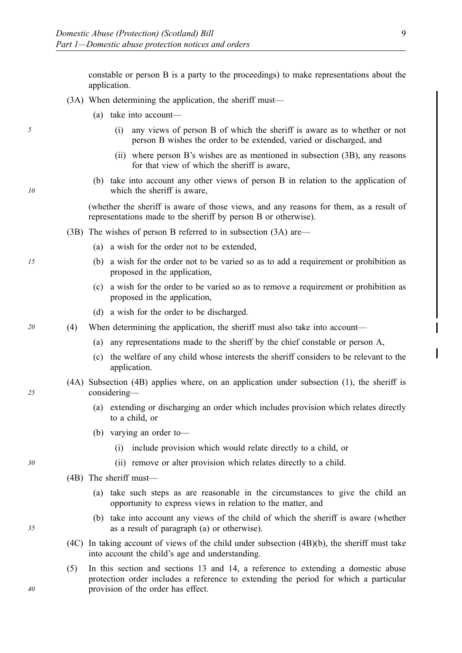constable or person B is a party to the proceedings) to make representations about the application.

- (3A) When determining the application, the sheriff must—
	- (a) take into account—
- *5* (i) any views of person B of which the sheriff is aware as to whether or not person B wishes the order to be extended, varied or discharged, and
	- (ii) where person B's wishes are as mentioned in subsection (3B), any reasons for that view of which the sheriff is aware,
	- (b) take into account any other views of person B in relation to the application of which the sheriff is aware,

(whether the sheriff is aware of those views, and any reasons for them, as a result of representations made to the sheriff by person B or otherwise).

- (3B) The wishes of person B referred to in subsection (3A) are—
	- (a) a wish for the order not to be extended,
- *15* (b) a wish for the order not to be varied so as to add a requirement or prohibition as proposed in the application,
	- (c) a wish for the order to be varied so as to remove a requirement or prohibition as proposed in the application,
	- (d) a wish for the order to be discharged.

*20* (4) When determining the application, the sheriff must also take into account—

- (a) any representations made to the sheriff by the chief constable or person A,
- (c) the welfare of any child whose interests the sheriff considers to be relevant to the application.
- (4A) Subsection (4B) applies where, on an application under subsection (1), the sheriff is considering—
	- (a) extending or discharging an order which includes provision which relates directly to a child, or
	- (b) varying an order to—
		- (i) include provision which would relate directly to a child, or
- *30* (ii) remove or alter provision which relates directly to a child.
	- (4B) The sheriff must—
		- (a) take such steps as are reasonable in the circumstances to give the child an opportunity to express views in relation to the matter, and
		- (b) take into account any views of the child of which the sheriff is aware (whether as a result of paragraph (a) or otherwise).
	- (4C) In taking account of views of the child under subsection (4B)(b), the sheriff must take into account the child's age and understanding.
	- (5) In this section and sections 13 and 14, a reference to extending a domestic abuse protection order includes a reference to extending the period for which a particular provision of the order has effect.

*25* 

*10* 

*35*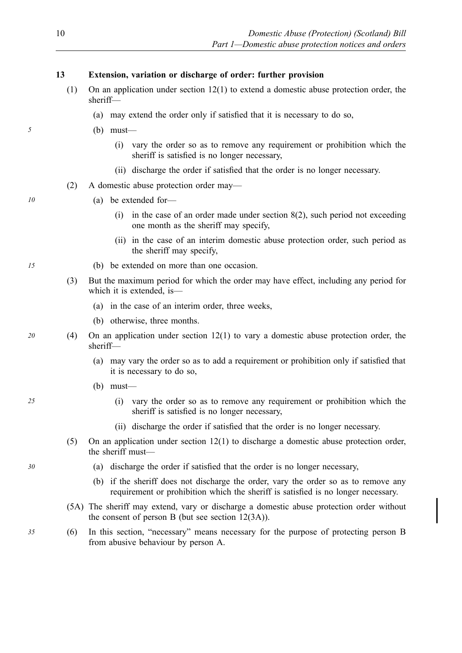#### **13 Extension, variation or discharge of order: further provision**

- (1) On an application under section 12(1) to extend a domestic abuse protection order, the sheriff—
	- (a) may extend the order only if satisfied that it is necessary to do so,
- *5* (b) must—
	- (i) vary the order so as to remove any requirement or prohibition which the sheriff is satisfied is no longer necessary,
	- (ii) discharge the order if satisfied that the order is no longer necessary.
	- (2) A domestic abuse protection order may—
- *10* (a) be extended for—
	- (i) in the case of an order made under section 8(2), such period not exceeding one month as the sheriff may specify,
	- (ii) in the case of an interim domestic abuse protection order, such period as the sheriff may specify,
- *15* (b) be extended on more than one occasion.
	- (3) But the maximum period for which the order may have effect, including any period for which it is extended, is—
		- (a) in the case of an interim order, three weeks,
		- (b) otherwise, three months.
- *20* (4) On an application under section 12(1) to vary a domestic abuse protection order, the sheriff—
	- (a) may vary the order so as to add a requirement or prohibition only if satisfied that it is necessary to do so,
	- (b) must—
- *25* (i) vary the order so as to remove any requirement or prohibition which the sheriff is satisfied is no longer necessary,
	- (ii) discharge the order if satisfied that the order is no longer necessary.
	- (5) On an application under section 12(1) to discharge a domestic abuse protection order, the sheriff must—
- *30* (a) discharge the order if satisfied that the order is no longer necessary,
	- (b) if the sheriff does not discharge the order, vary the order so as to remove any requirement or prohibition which the sheriff is satisfied is no longer necessary.
	- (5A) The sheriff may extend, vary or discharge a domestic abuse protection order without the consent of person B (but see section 12(3A)).
- *35* (6) In this section, "necessary" means necessary for the purpose of protecting person B from abusive behaviour by person A.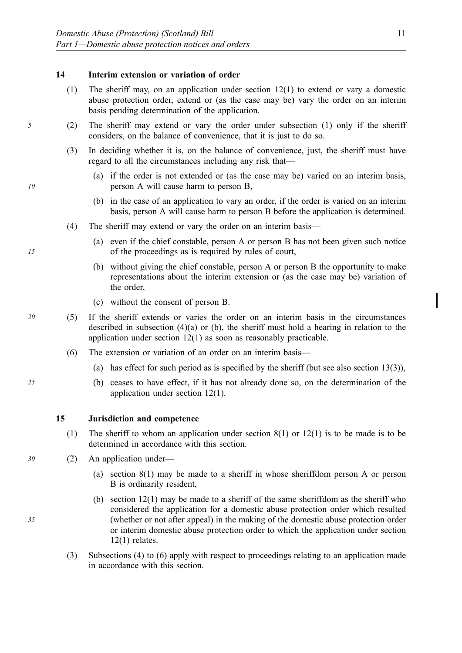#### **14 Interim extension or variation of order**

- (1) The sheriff may, on an application under section 12(1) to extend or vary a domestic abuse protection order, extend or (as the case may be) vary the order on an interim basis pending determination of the application.
- *5* (2) The sheriff may extend or vary the order under subsection (1) only if the sheriff considers, on the balance of convenience, that it is just to do so.
	- (3) In deciding whether it is, on the balance of convenience, just, the sheriff must have regard to all the circumstances including any risk that—
		- (a) if the order is not extended or (as the case may be) varied on an interim basis, person A will cause harm to person B,
		- (b) in the case of an application to vary an order, if the order is varied on an interim basis, person A will cause harm to person B before the application is determined.
	- (4) The sheriff may extend or vary the order on an interim basis—
		- (a) even if the chief constable, person A or person B has not been given such notice of the proceedings as is required by rules of court,
		- (b) without giving the chief constable, person A or person B the opportunity to make representations about the interim extension or (as the case may be) variation of the order,
		- (c) without the consent of person B.
- *20* (5) If the sheriff extends or varies the order on an interim basis in the circumstances described in subsection (4)(a) or (b), the sheriff must hold a hearing in relation to the application under section 12(1) as soon as reasonably practicable.
	- (6) The extension or variation of an order on an interim basis—
		- (a) has effect for such period as is specified by the sheriff (but see also section  $13(3)$ ),
- *25* (b) ceases to have effect, if it has not already done so, on the determination of the application under section 12(1).

#### **15 Jurisdiction and competence**

- (1) The sheriff to whom an application under section 8(1) or 12(1) is to be made is to be determined in accordance with this section.
- *30* (2) An application under—
	- (a) section 8(1) may be made to a sheriff in whose sheriffdom person A or person B is ordinarily resident,
	- (b) section 12(1) may be made to a sheriff of the same sheriffdom as the sheriff who considered the application for a domestic abuse protection order which resulted (whether or not after appeal) in the making of the domestic abuse protection order or interim domestic abuse protection order to which the application under section  $12(1)$  relates.
	- (3) Subsections (4) to (6) apply with respect to proceedings relating to an application made in accordance with this section.

*15*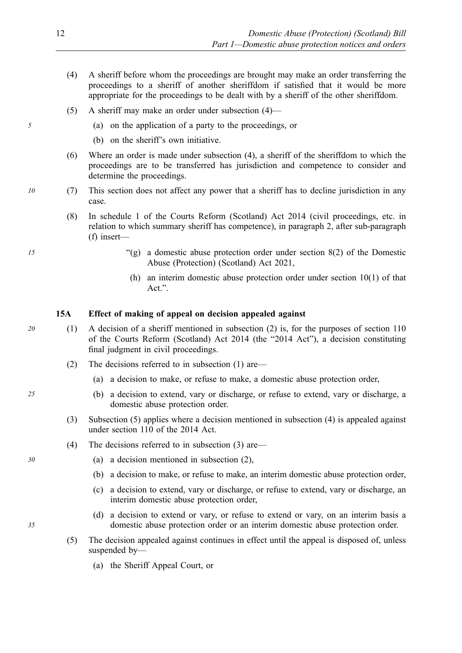- (4) A sheriff before whom the proceedings are brought may make an order transferring the proceedings to a sheriff of another sheriffdom if satisfied that it would be more appropriate for the proceedings to be dealt with by a sheriff of the other sheriffdom.
- (5) A sheriff may make an order under subsection (4)—
- *5* (a) on the application of a party to the proceedings, or
	- (b) on the sheriff's own initiative.
	- (6) Where an order is made under subsection (4), a sheriff of the sheriffdom to which the proceedings are to be transferred has jurisdiction and competence to consider and determine the proceedings.
- *10* (7) This section does not affect any power that a sheriff has to decline jurisdiction in any case.
	- (8) In schedule 1 of the Courts Reform (Scotland) Act 2014 (civil proceedings, etc. in relation to which summary sheriff has competence), in paragraph 2, after sub-paragraph (f) insert—
- *15* "(g) a domestic abuse protection order under section 8(2) of the Domestic Abuse (Protection) (Scotland) Act 2021,
	- (h) an interim domestic abuse protection order under section 10(1) of that Act.".

#### **15A Effect of making of appeal on decision appealed against**

- *20* (1) A decision of a sheriff mentioned in subsection (2) is, for the purposes of section 110 of the Courts Reform (Scotland) Act 2014 (the "2014 Act"), a decision constituting final judgment in civil proceedings.
	- (2) The decisions referred to in subsection (1) are—
		- (a) a decision to make, or refuse to make, a domestic abuse protection order,
- *25* (b) a decision to extend, vary or discharge, or refuse to extend, vary or discharge, a domestic abuse protection order.
	- (3) Subsection (5) applies where a decision mentioned in subsection (4) is appealed against under section 110 of the 2014 Act.
	- (4) The decisions referred to in subsection (3) are—
- *30* (a) a decision mentioned in subsection (2),
	- (b) a decision to make, or refuse to make, an interim domestic abuse protection order,
	- (c) a decision to extend, vary or discharge, or refuse to extend, vary or discharge, an interim domestic abuse protection order,
	- (d) a decision to extend or vary, or refuse to extend or vary, on an interim basis a domestic abuse protection order or an interim domestic abuse protection order.
	- (5) The decision appealed against continues in effect until the appeal is disposed of, unless suspended by—
		- (a) the Sheriff Appeal Court, or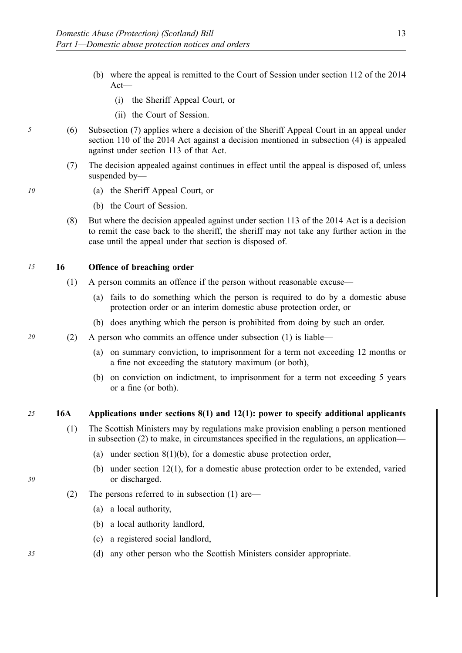- (b) where the appeal is remitted to the Court of Session under section 112 of the 2014 Act—
	- (i) the Sheriff Appeal Court, or
	- (ii) the Court of Session.
- *5* (6) Subsection (7) applies where a decision of the Sheriff Appeal Court in an appeal under section 110 of the 2014 Act against a decision mentioned in subsection (4) is appealed against under section 113 of that Act.
	- (7) The decision appealed against continues in effect until the appeal is disposed of, unless suspended by—
- *10* (a) the Sheriff Appeal Court, or
	- (b) the Court of Session.
	- (8) But where the decision appealed against under section 113 of the 2014 Act is a decision to remit the case back to the sheriff, the sheriff may not take any further action in the case until the appeal under that section is disposed of.

*15* **16 Offence of breaching order** 

- (1) A person commits an offence if the person without reasonable excuse—
	- (a) fails to do something which the person is required to do by a domestic abuse protection order or an interim domestic abuse protection order, or
	- (b) does anything which the person is prohibited from doing by such an order.
- *20* (2) A person who commits an offence under subsection (1) is liable—
	- (a) on summary conviction, to imprisonment for a term not exceeding 12 months or a fine not exceeding the statutory maximum (or both),
	- (b) on conviction on indictment, to imprisonment for a term not exceeding 5 years or a fine (or both).

#### *25* **16A Applications under sections 8(1) and 12(1): power to specify additional applicants**

- (1) The Scottish Ministers may by regulations make provision enabling a person mentioned in subsection (2) to make, in circumstances specified in the regulations, an application—
	- (a) under section  $8(1)(b)$ , for a domestic abuse protection order,
	- (b) under section 12(1), for a domestic abuse protection order to be extended, varied or discharged.
- (2) The persons referred to in subsection (1) are—
	- (a) a local authority,
	- (b) a local authority landlord,
	- (c) a registered social landlord,
- *35* (d) any other person who the Scottish Ministers consider appropriate.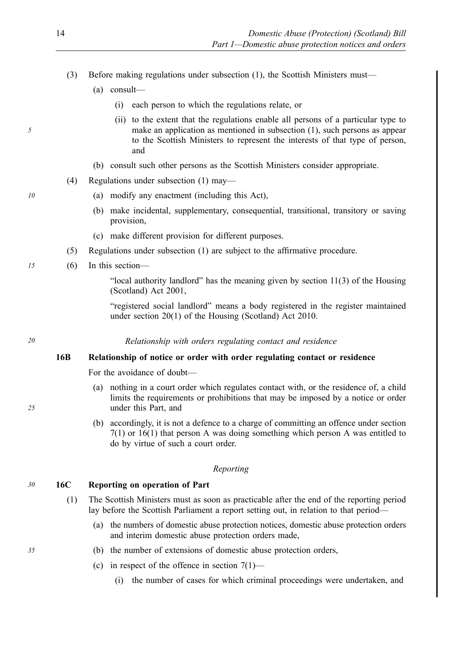- (3) Before making regulations under subsection (1), the Scottish Ministers must—
	- (a) consult—
		- (i) each person to which the regulations relate, or
		- (ii) to the extent that the regulations enable all persons of a particular type to make an application as mentioned in subsection (1), such persons as appear to the Scottish Ministers to represent the interests of that type of person, and
	- (b) consult such other persons as the Scottish Ministers consider appropriate.
- (4) Regulations under subsection (1) may—
- *10* (a) modify any enactment (including this Act),
	- (b) make incidental, supplementary, consequential, transitional, transitory or saving provision,
	- (c) make different provision for different purposes.
	- (5) Regulations under subsection (1) are subject to the affirmative procedure.
- *15* (6) In this section—

"local authority landlord" has the meaning given by section 11(3) of the Housing (Scotland) Act 2001,

"registered social landlord" means a body registered in the register maintained under section 20(1) of the Housing (Scotland) Act 2010.

*20 Relationship with orders regulating contact and residence* 

#### **16B Relationship of notice or order with order regulating contact or residence**

For the avoidance of doubt—

- (a) nothing in a court order which regulates contact with, or the residence of, a child limits the requirements or prohibitions that may be imposed by a notice or order under this Part, and
- (b) accordingly, it is not a defence to a charge of committing an offence under section 7(1) or 16(1) that person A was doing something which person A was entitled to do by virtue of such a court order.

#### *Reporting*

#### *30* **16C Reporting on operation of Part**

- (1) The Scottish Ministers must as soon as practicable after the end of the reporting period lay before the Scottish Parliament a report setting out, in relation to that period—
	- (a) the numbers of domestic abuse protection notices, domestic abuse protection orders and interim domestic abuse protection orders made,
- *35* (b) the number of extensions of domestic abuse protection orders,
	- (c) in respect of the offence in section  $7(1)$ 
		- (i) the number of cases for which criminal proceedings were undertaken, and

*5*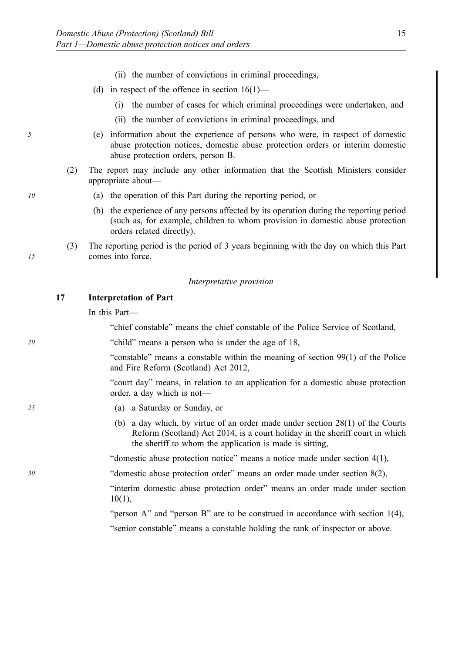- (ii) the number of convictions in criminal proceedings,
- (d) in respect of the offence in section 16(1)—
	- (i) the number of cases for which criminal proceedings were undertaken, and
	- (ii) the number of convictions in criminal proceedings, and
- *5* (e) information about the experience of persons who were, in respect of domestic abuse protection notices, domestic abuse protection orders or interim domestic abuse protection orders, person B.
	- (2) The report may include any other information that the Scottish Ministers consider appropriate about—
- *10* (a) the operation of this Part during the reporting period, or
	- (b) the experience of any persons affected by its operation during the reporting period (such as, for example, children to whom provision in domestic abuse protection orders related directly).
	- (3) The reporting period is the period of 3 years beginning with the day on which this Part comes into force.

#### *Interpretative provision*

#### **17 Interpretation of Part**

In this Part—

"chief constable" means the chief constable of the Police Service of Scotland,

*20* "child" means a person who is under the age of 18,

"constable" means a constable within the meaning of section 99(1) of the Police and Fire Reform (Scotland) Act 2012,

"court day" means, in relation to an application for a domestic abuse protection order, a day which is not—

- *25* (a) a Saturday or Sunday, or
	- (b) a day which, by virtue of an order made under section 28(1) of the Courts Reform (Scotland) Act 2014, is a court holiday in the sheriff court in which the sheriff to whom the application is made is sitting,

"domestic abuse protection notice" means a notice made under section 4(1),

*30* "domestic abuse protection order" means an order made under section 8(2),

"interim domestic abuse protection order" means an order made under section 10(1),

"person A" and "person B" are to be construed in accordance with section 1(4),

"senior constable" means a constable holding the rank of inspector or above.

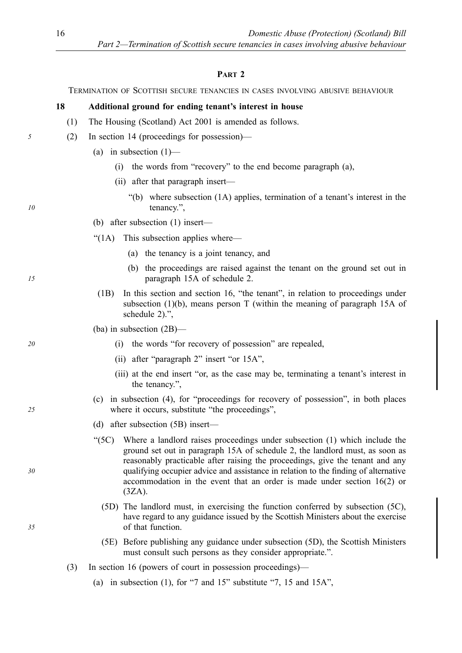#### **PART 2**

TERMINATION OF SCOTTISH SECURE TENANCIES IN CASES INVOLVING ABUSIVE BEHAVIOUR

#### **18 Additional ground for ending tenant's interest in house**

- (1) The Housing (Scotland) Act 2001 is amended as follows.
- *5* (2) In section 14 (proceedings for possession)—
	- (a) in subsection  $(1)$ 
		- (i) the words from "recovery" to the end become paragraph (a),
		- (ii) after that paragraph insert—
			- "(b) where subsection (1A) applies, termination of a tenant's interest in the tenancy.",
	- (b) after subsection (1) insert—
	- "(1A) This subsection applies where—
		- (a) the tenancy is a joint tenancy, and
		- (b) the proceedings are raised against the tenant on the ground set out in paragraph 15A of schedule 2.
	- (1B) In this section and section 16, "the tenant", in relation to proceedings under subsection (1)(b), means person T (within the meaning of paragraph 15A of schedule 2).",
	- (ba) in subsection (2B)—
- *20* (i) the words "for recovery of possession" are repealed,
	- (ii) after "paragraph 2" insert "or 15A",
	- (iii) at the end insert "or, as the case may be, terminating a tenant's interest in the tenancy.",
	- (c) in subsection (4), for "proceedings for recovery of possession", in both places where it occurs, substitute "the proceedings",
	- (d) after subsection (5B) insert—
	- "(5C) Where a landlord raises proceedings under subsection (1) which include the ground set out in paragraph 15A of schedule 2, the landlord must, as soon as reasonably practicable after raising the proceedings, give the tenant and any qualifying occupier advice and assistance in relation to the finding of alternative accommodation in the event that an order is made under section 16(2) or (3ZA).
		- (5D) The landlord must, in exercising the function conferred by subsection (5C), have regard to any guidance issued by the Scottish Ministers about the exercise of that function.
		- (5E) Before publishing any guidance under subsection (5D), the Scottish Ministers must consult such persons as they consider appropriate.".
	- (3) In section 16 (powers of court in possession proceedings)—
		- (a) in subsection (1), for "7 and  $15$ " substitute "7, 15 and  $15A$ ",

*15* 

*10* 

*25* 

*35*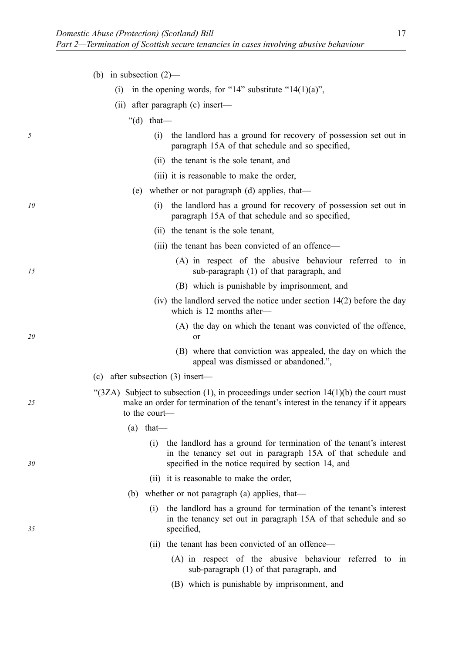|  | (b) in subsection $(2)$ - |  |
|--|---------------------------|--|
|  |                           |  |

- (i) in the opening words, for "14" substitute "14(1)(a)",
- (ii) after paragraph (c) insert—
	- " $(d)$  that—
- *5* (i) the landlord has a ground for recovery of possession set out in paragraph 15A of that schedule and so specified,
	- (ii) the tenant is the sole tenant, and
	- (iii) it is reasonable to make the order,
	- (e) whether or not paragraph (d) applies, that—
- *10* (i) the landlord has a ground for recovery of possession set out in paragraph 15A of that schedule and so specified,
	- (ii) the tenant is the sole tenant,
	- (iii) the tenant has been convicted of an offence—
		- (A) in respect of the abusive behaviour referred to in sub-paragraph (1) of that paragraph, and
		- (B) which is punishable by imprisonment, and
	- (iv) the landlord served the notice under section 14(2) before the day which is 12 months after—
		- (A) the day on which the tenant was convicted of the offence, or
		- (B) where that conviction was appealed, the day on which the appeal was dismissed or abandoned.",
	- (c) after subsection (3) insert—

*15* 

*20* 

*25* 

*30* 

- " $(3ZA)$  Subject to subsection (1), in proceedings under section 14(1)(b) the court must make an order for termination of the tenant's interest in the tenancy if it appears to the court—
	- $(a)$  that—
		- (i) the landlord has a ground for termination of the tenant's interest in the tenancy set out in paragraph 15A of that schedule and specified in the notice required by section 14, and
		- (ii) it is reasonable to make the order,
	- (b) whether or not paragraph (a) applies, that—
		- (i) the landlord has a ground for termination of the tenant's interest in the tenancy set out in paragraph 15A of that schedule and so specified,
		- (ii) the tenant has been convicted of an offence—
			- (A) in respect of the abusive behaviour referred to in sub-paragraph (1) of that paragraph, and
			- (B) which is punishable by imprisonment, and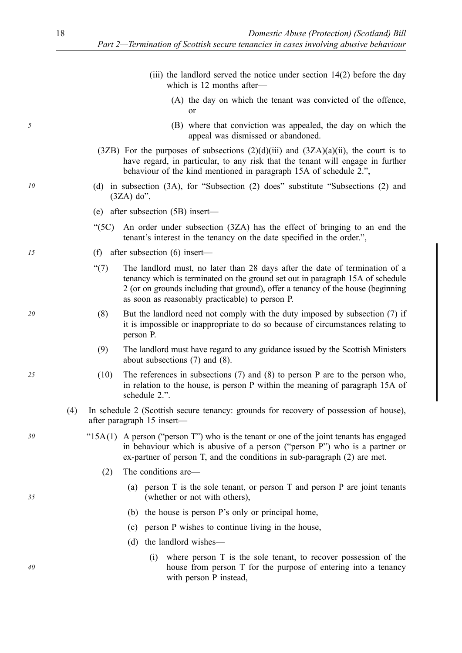|    |     |          | (iii) the landlord served the notice under section $14(2)$ before the day<br>which is 12 months after—                                                                                                                                                                                               |
|----|-----|----------|------------------------------------------------------------------------------------------------------------------------------------------------------------------------------------------------------------------------------------------------------------------------------------------------------|
|    |     |          | (A) the day on which the tenant was convicted of the offence,<br>0r                                                                                                                                                                                                                                  |
| 5  |     |          | (B) where that conviction was appealed, the day on which the<br>appeal was dismissed or abandoned.                                                                                                                                                                                                   |
|    |     |          | $(3ZB)$ For the purposes of subsections $(2)(d)(iii)$ and $(3ZA)(a)(ii)$ , the court is to<br>have regard, in particular, to any risk that the tenant will engage in further<br>behaviour of the kind mentioned in paragraph 15A of schedule 2.",                                                    |
| 10 |     | (d)      | in subsection (3A), for "Subsection (2) does" substitute "Subsections (2) and<br>$(3ZA)$ do",                                                                                                                                                                                                        |
|    |     |          | (e) after subsection $(5B)$ insert—                                                                                                                                                                                                                                                                  |
|    |     | " $(5C)$ | An order under subsection (3ZA) has the effect of bringing to an end the<br>tenant's interest in the tenancy on the date specified in the order.",                                                                                                                                                   |
| 15 |     |          | (f) after subsection $(6)$ insert—                                                                                                                                                                                                                                                                   |
|    |     | (7)      | The landlord must, no later than 28 days after the date of termination of a<br>tenancy which is terminated on the ground set out in paragraph 15A of schedule<br>2 (or on grounds including that ground), offer a tenancy of the house (beginning<br>as soon as reasonably practicable) to person P. |
| 20 |     | (8)      | But the landlord need not comply with the duty imposed by subsection (7) if<br>it is impossible or inappropriate to do so because of circumstances relating to<br>person P.                                                                                                                          |
|    |     | (9)      | The landlord must have regard to any guidance issued by the Scottish Ministers<br>about subsections $(7)$ and $(8)$ .                                                                                                                                                                                |
| 25 |     | (10)     | The references in subsections $(7)$ and $(8)$ to person P are to the person who,<br>in relation to the house, is person P within the meaning of paragraph 15A of<br>schedule 2.".                                                                                                                    |
|    | (4) |          | In schedule 2 (Scottish secure tenancy: grounds for recovery of possession of house),<br>after paragraph 15 insert—                                                                                                                                                                                  |
| 30 |     |          | " $15A(1)$ A person ("person T") who is the tenant or one of the joint tenants has engaged<br>in behaviour which is abusive of a person ("person P") who is a partner or<br>ex-partner of person T, and the conditions in sub-paragraph (2) are met.                                                 |
|    |     | (2)      | The conditions are—                                                                                                                                                                                                                                                                                  |
| 35 |     |          | person T is the sole tenant, or person T and person P are joint tenants<br>(a)<br>(whether or not with others),                                                                                                                                                                                      |
|    |     |          | the house is person P's only or principal home,<br>(b)                                                                                                                                                                                                                                               |
|    |     |          | person P wishes to continue living in the house,<br>(c)                                                                                                                                                                                                                                              |
|    |     |          | the landlord wishes—<br>(d)                                                                                                                                                                                                                                                                          |
| 40 |     |          | where person T is the sole tenant, to recover possession of the<br>(i)<br>house from person T for the purpose of entering into a tenancy<br>with person P instead,                                                                                                                                   |

*35*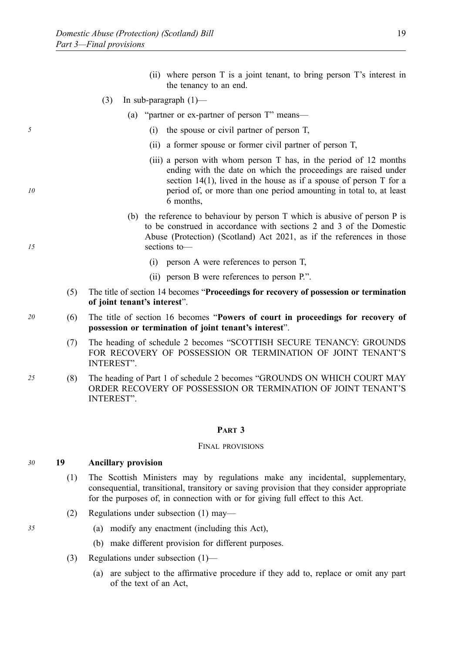- (ii) where person T is a joint tenant, to bring person T's interest in the tenancy to an end.
- (3) In sub-paragraph  $(1)$ 
	- (a) "partner or ex-partner of person T" means—
- *5* (i) the spouse or civil partner of person T,
	- (ii) a former spouse or former civil partner of person T,
	- (iii) a person with whom person T has, in the period of 12 months ending with the date on which the proceedings are raised under section  $14(1)$ , lived in the house as if a spouse of person T for a period of, or more than one period amounting in total to, at least 6 months,
	- (b) the reference to behaviour by person T which is abusive of person P is to be construed in accordance with sections 2 and 3 of the Domestic Abuse (Protection) (Scotland) Act 2021, as if the references in those sections to—
		- (i) person A were references to person T,
		- (ii) person B were references to person P.".
	- (5) The title of section 14 becomes "**Proceedings for recovery of possession or termination of joint tenant's interest**".
- *20* (6) The title of section 16 becomes "**Powers of court in proceedings for recovery of possession or termination of joint tenant's interest**".
	- (7) The heading of schedule 2 becomes "SCOTTISH SECURE TENANCY: GROUNDS FOR RECOVERY OF POSSESSION OR TERMINATION OF JOINT TENANT'S INTEREST".
- *25* (8) The heading of Part 1 of schedule 2 becomes "GROUNDS ON WHICH COURT MAY ORDER RECOVERY OF POSSESSION OR TERMINATION OF JOINT TENANT'S INTEREST".

#### **PART 3**

#### FINAL PROVISIONS

#### *30* **19 Ancillary provision**

- (1) The Scottish Ministers may by regulations make any incidental, supplementary, consequential, transitional, transitory or saving provision that they consider appropriate for the purposes of, in connection with or for giving full effect to this Act.
- (2) Regulations under subsection (1) may—
- *35* (a) modify any enactment (including this Act),
	- (b) make different provision for different purposes.
	- (3) Regulations under subsection (1)—
		- (a) are subject to the affirmative procedure if they add to, replace or omit any part of the text of an Act,

*10*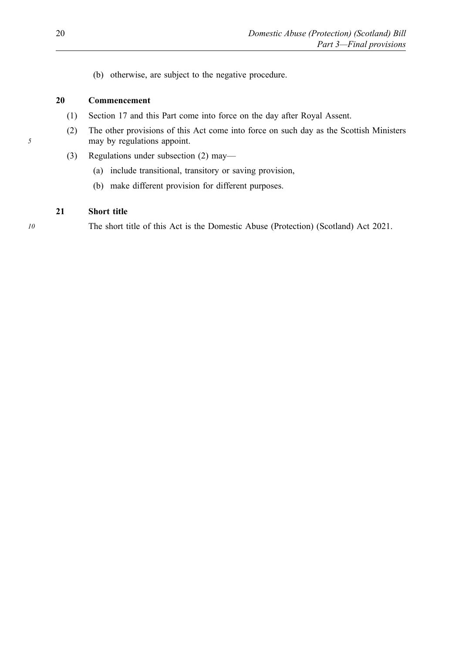(b) otherwise, are subject to the negative procedure.

#### **20 Commencement**

- (1) Section 17 and this Part come into force on the day after Royal Assent.
- (2) The other provisions of this Act come into force on such day as the Scottish Ministers may by regulations appoint.
- (3) Regulations under subsection (2) may—
	- (a) include transitional, transitory or saving provision,
	- (b) make different provision for different purposes.

#### **21 Short title**

*10* The short title of this Act is the Domestic Abuse (Protection) (Scotland) Act 2021.